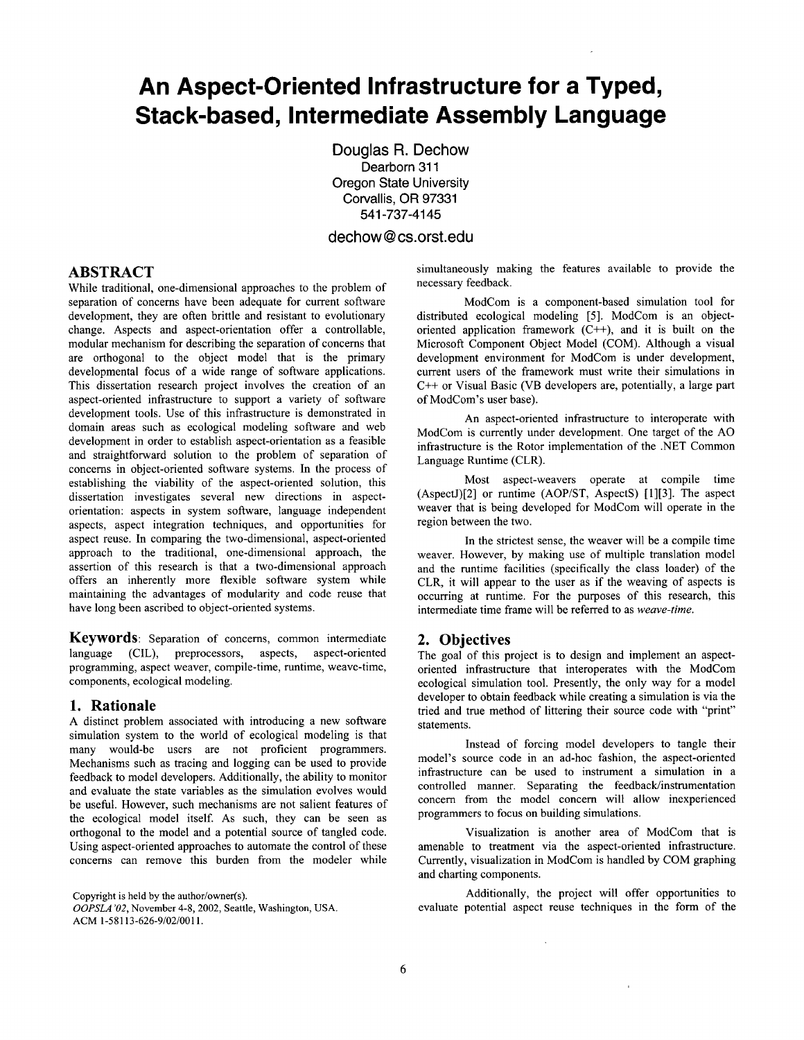# **An Aspect-Oriented Infrastructure for a Typed, Stack-based, Intermediate Assembly Language**

Douglas R. Dechow Dearborn 311 Oregon State University Corvallis, OR 97331 541-737-4145

### dechow@cs.orst.edu

## **ABSTRACT**

While traditional, one-dimensional approaches to the problem of separation of concerns have been adequate for current software development, they are often brittle and resistant to evolutionary change. Aspects and aspect-orientation offer a controllable, modular mechanism for describing the separation of concerns that are orthogonal to the object model that is the primary developmental focus of a wide range of software applications. This dissertation research project involves the creation of an aspect-oriented infrastructure to support a variety of software development tools. Use of this infrastructure is demonstrated in domain areas such as ecological modeling software and web development in order to establish aspect-orientation as a feasible and straightforward solution to the problem of separation of concerns in object-oriented software systems. In the process of establishing the viability of the aspect-oriented solution, this dissertation investigates several new directions in aspectorientation: aspects in system software, language independent aspects, aspect integration techniques, and opportunities for aspect reuse. In comparing the two-dimensional, aspect-oriented approach to the traditional, one-dimensional approach, the assertion of this research is that a two-dimensional approach offers an inherently more flexible software system while maintaining the advantages of modularity and code reuse that have long been ascribed to object-oriented systems.

**Keywords:** Separation of concerns, common intermediate language (CIL), preprocessors, aspects, aspect-oriented programming, aspect weaver, compile-time, runtime, weave-time, components, ecological modeling.

#### **1. Rationale**

A distinct problem associated with introducing a new software simulation system to the world of ecological modeling is that many would-be users are not proficient programmers. Mechanisms such as tracing and logging can be used to provide feedback to model developers. Additionally, the ability to monitor and evaluate the state variables as the simulation evolves would be useful. However, such mechanisms are not salient features of the ecological model itself. As such, they can be seen as orthogonal to the model and a potential source of tangled code. Using aspect-oriented approaches to automate the control of these concerns can remove this burden from the modeler while

Copyright is held by the author/owner(s). *OOPSLA "02,* November 4-8, 2002, Seattle, Washington, USA.

ACM 1-58113-626-9/02/0011.

simultaneously making the features available to provide the necessary feedback.

ModCom is a component-based simulation tool for distributed ecological modeling [5]. ModCom is an objectoriented application framework  $(C^{++})$ , and it is built on the Microsoft Component Object Model (COM). Although a visual development environment for ModCom is under development, current users of the framework must write their simulations in C++ or Visual Basic (VB developers are, potentially, a large part of ModCom's user base).

An aspect-oriented infrastructure to interoperate with ModCom is currently under development. One target of the AO infrastructure is the Rotor implementation of the .NET Common Language Runtime (CLR).

Most aspect-weavers operate at compile time (AspectJ)[2] or runtime (AOP/ST, AspectS) [1][3]. The aspect weaver that is being developed for ModCom will operate in the region between the two.

In the strictest sense, the weaver will be a compile time weaver. However, by making use of multiple translation model and the runtime facilities (specifically the class loader) of the *CLR,* it will appear to the user as if the weaving of aspects is occurring at runtime. For the purposes of this research, this intermediate time frame will be referred to as *weave-time.* 

#### **2. Objectives**

The goal of this project is to design and implement an aspectoriented infrastructure that interoperates with the ModCom ecological simulation tool. Presently, the only way for a model developer to obtain feedback while creating a simulation is via the tried and true method of littering their source code with "print" statements.

Instead of forcing model developers to tangle their model's source code in an ad-hoc fashion, the aspect-oriented infrastructure can be used to instrument a simulation in a controlled manner. Separating the feedback/instrumentation concern from the model concern will allow inexperienced programmers to focus on building simulations.

Visualization is another area of ModCom that is amenable to treatment via the aspect-oriented infrastructure. Currently, visualization in ModCom is handled by COM graphing **and** charting components.

Additionally, the project will offer opportunities to evaluate potential aspect reuse techniques in the form of the